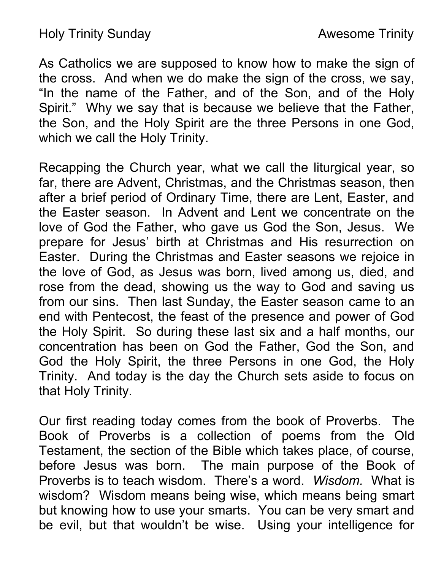Holy Trinity Sunday **Awesome Trinity** 

As Catholics we are supposed to know how to make the sign of the cross. And when we do make the sign of the cross, we say, "In the name of the Father, and of the Son, and of the Holy Spirit." Why we say that is because we believe that the Father, the Son, and the Holy Spirit are the three Persons in one God, which we call the Holy Trinity.

Recapping the Church year, what we call the liturgical year, so far, there are Advent, Christmas, and the Christmas season, then after a brief period of Ordinary Time, there are Lent, Easter, and the Easter season. In Advent and Lent we concentrate on the love of God the Father, who gave us God the Son, Jesus. We prepare for Jesus' birth at Christmas and His resurrection on Easter. During the Christmas and Easter seasons we rejoice in the love of God, as Jesus was born, lived among us, died, and rose from the dead, showing us the way to God and saving us from our sins. Then last Sunday, the Easter season came to an end with Pentecost, the feast of the presence and power of God the Holy Spirit. So during these last six and a half months, our concentration has been on God the Father, God the Son, and God the Holy Spirit, the three Persons in one God, the Holy Trinity. And today is the day the Church sets aside to focus on that Holy Trinity.

Our first reading today comes from the book of Proverbs. The Book of Proverbs is a collection of poems from the Old Testament, the section of the Bible which takes place, of course, before Jesus was born. The main purpose of the Book of Proverbs is to teach wisdom. There's a word. Wisdom. What is wisdom? Wisdom means being wise, which means being smart but knowing how to use your smarts. You can be very smart and be evil, but that wouldn't be wise. Using your intelligence for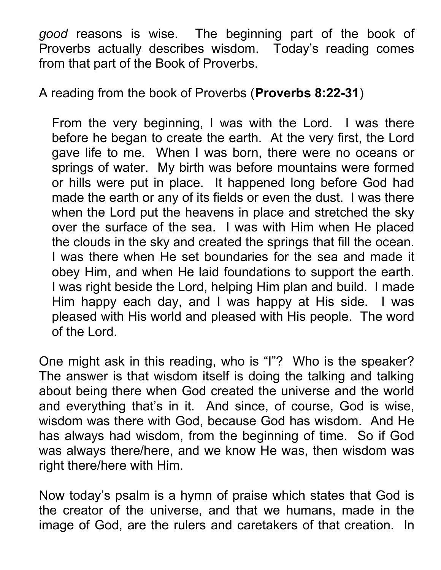good reasons is wise. The beginning part of the book of Proverbs actually describes wisdom. Today's reading comes from that part of the Book of Proverbs.

A reading from the book of Proverbs (Proverbs 8:22-31)

From the very beginning, I was with the Lord. I was there before he began to create the earth. At the very first, the Lord gave life to me. When I was born, there were no oceans or springs of water. My birth was before mountains were formed or hills were put in place. It happened long before God had made the earth or any of its fields or even the dust. I was there when the Lord put the heavens in place and stretched the sky over the surface of the sea. I was with Him when He placed the clouds in the sky and created the springs that fill the ocean. I was there when He set boundaries for the sea and made it obey Him, and when He laid foundations to support the earth. I was right beside the Lord, helping Him plan and build. I made Him happy each day, and I was happy at His side. I was pleased with His world and pleased with His people. The word of the Lord.

One might ask in this reading, who is "I"? Who is the speaker? The answer is that wisdom itself is doing the talking and talking about being there when God created the universe and the world and everything that's in it. And since, of course, God is wise, wisdom was there with God, because God has wisdom. And He has always had wisdom, from the beginning of time. So if God was always there/here, and we know He was, then wisdom was right there/here with Him.

Now today's psalm is a hymn of praise which states that God is the creator of the universe, and that we humans, made in the image of God, are the rulers and caretakers of that creation. In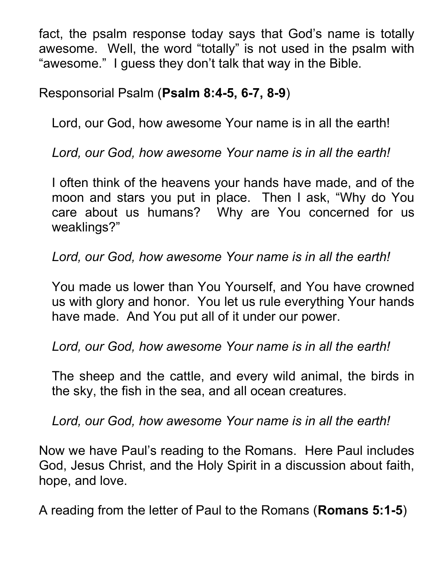fact, the psalm response today says that God's name is totally awesome. Well, the word "totally" is not used in the psalm with "awesome." I guess they don't talk that way in the Bible.

Responsorial Psalm (Psalm 8:4-5, 6-7, 8-9)

Lord, our God, how awesome Your name is in all the earth!

Lord, our God, how awesome Your name is in all the earth!

I often think of the heavens your hands have made, and of the moon and stars you put in place. Then I ask, "Why do You care about us humans? Why are You concerned for us weaklings?"

Lord, our God, how awesome Your name is in all the earth!

You made us lower than You Yourself, and You have crowned us with glory and honor. You let us rule everything Your hands have made. And You put all of it under our power.

Lord, our God, how awesome Your name is in all the earth!

The sheep and the cattle, and every wild animal, the birds in the sky, the fish in the sea, and all ocean creatures.

Lord, our God, how awesome Your name is in all the earth!

Now we have Paul's reading to the Romans. Here Paul includes God, Jesus Christ, and the Holy Spirit in a discussion about faith, hope, and love.

A reading from the letter of Paul to the Romans (Romans 5:1-5)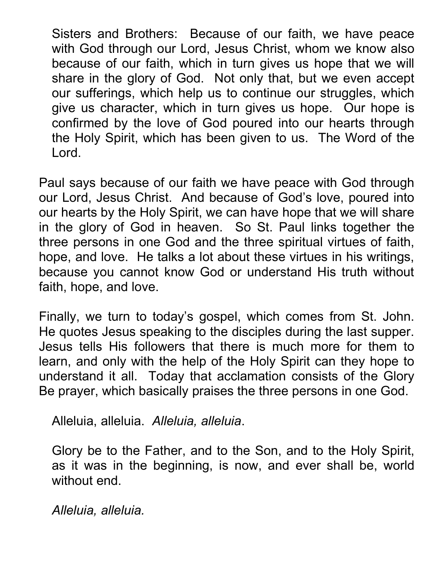Sisters and Brothers: Because of our faith, we have peace with God through our Lord, Jesus Christ, whom we know also because of our faith, which in turn gives us hope that we will share in the glory of God. Not only that, but we even accept our sufferings, which help us to continue our struggles, which give us character, which in turn gives us hope. Our hope is confirmed by the love of God poured into our hearts through the Holy Spirit, which has been given to us. The Word of the Lord.

Paul says because of our faith we have peace with God through our Lord, Jesus Christ. And because of God's love, poured into our hearts by the Holy Spirit, we can have hope that we will share in the glory of God in heaven. So St. Paul links together the three persons in one God and the three spiritual virtues of faith, hope, and love. He talks a lot about these virtues in his writings, because you cannot know God or understand His truth without faith, hope, and love.

Finally, we turn to today's gospel, which comes from St. John. He quotes Jesus speaking to the disciples during the last supper. Jesus tells His followers that there is much more for them to learn, and only with the help of the Holy Spirit can they hope to understand it all. Today that acclamation consists of the Glory Be prayer, which basically praises the three persons in one God.

Alleluia, alleluia. Alleluia, alleluia.

Glory be to the Father, and to the Son, and to the Holy Spirit, as it was in the beginning, is now, and ever shall be, world without end.

Alleluia, alleluia.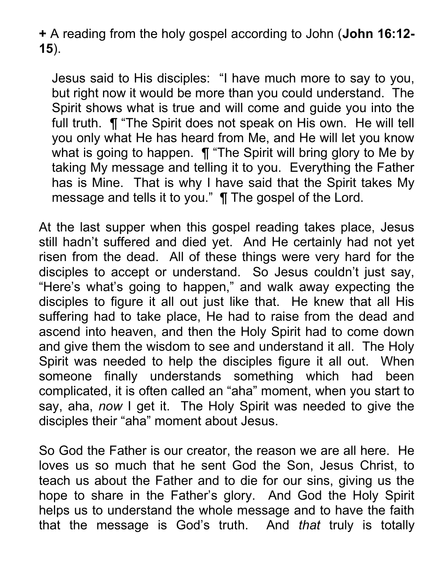+ A reading from the holy gospel according to John (John 16:12- 15).

Jesus said to His disciples: "I have much more to say to you, but right now it would be more than you could understand. The Spirit shows what is true and will come and guide you into the full truth. ¶ "The Spirit does not speak on His own. He will tell you only what He has heard from Me, and He will let you know what is going to happen.  $\P$  "The Spirit will bring glory to Me by taking My message and telling it to you. Everything the Father has is Mine. That is why I have said that the Spirit takes My message and tells it to you." ¶ The gospel of the Lord.

At the last supper when this gospel reading takes place, Jesus still hadn't suffered and died yet. And He certainly had not yet risen from the dead. All of these things were very hard for the disciples to accept or understand. So Jesus couldn't just say, "Here's what's going to happen," and walk away expecting the disciples to figure it all out just like that. He knew that all His suffering had to take place, He had to raise from the dead and ascend into heaven, and then the Holy Spirit had to come down and give them the wisdom to see and understand it all. The Holy Spirit was needed to help the disciples figure it all out. When someone finally understands something which had been complicated, it is often called an "aha" moment, when you start to say, aha, now I get it. The Holy Spirit was needed to give the disciples their "aha" moment about Jesus.

So God the Father is our creator, the reason we are all here. He loves us so much that he sent God the Son, Jesus Christ, to teach us about the Father and to die for our sins, giving us the hope to share in the Father's glory. And God the Holy Spirit helps us to understand the whole message and to have the faith that the message is God's truth. And that truly is totally